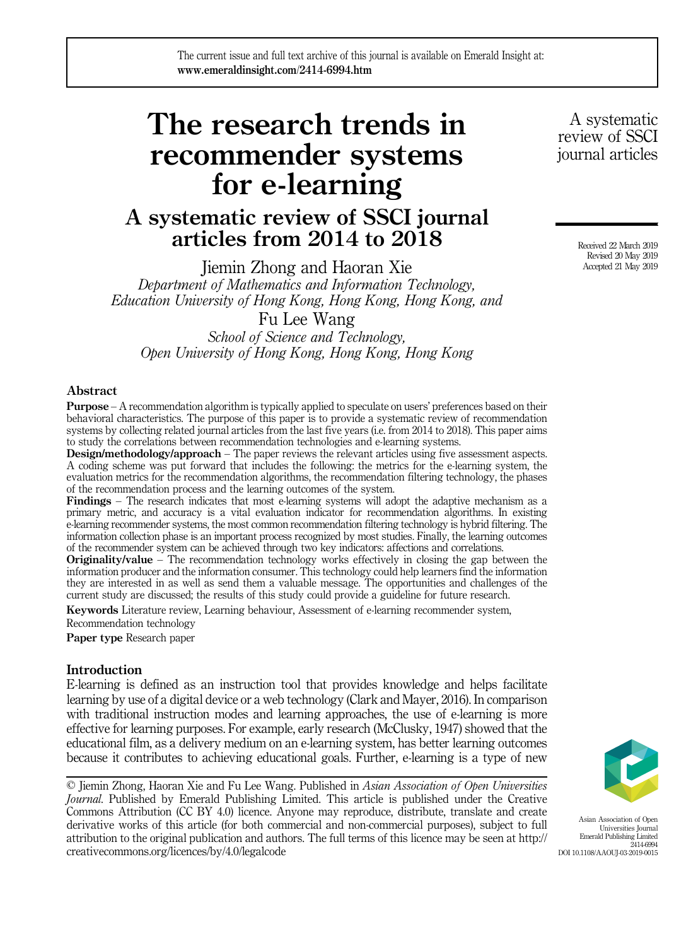# The research trends in recommender systems for e-learning

# A systematic review of SSCI journal articles from 2014 to 2018

Jiemin Zhong and Haoran Xie

Department of Mathematics and Information Technology, Education University of Hong Kong, Hong Kong, Hong Kong, and

Fu Lee Wang

School of Science and Technology. Open University of Hong Kong, Hong Kong, Hong Kong

#### Abstract

Purpose – A recommendation algorithm is typically applied to speculate on users' preferences based on their behavioral characteristics. The purpose of this paper is to provide a systematic review of recommendation systems by collecting related journal articles from the last five years (i.e. from 2014 to 2018). This paper aims to study the correlations between recommendation technologies and e-learning systems.

Design/methodology/approach – The paper reviews the relevant articles using five assessment aspects. A coding scheme was put forward that includes the following: the metrics for the e-learning system, the evaluation metrics for the recommendation algorithms, the recommendation filtering technology, the phases of the recommendation process and the learning outcomes of the system.

Findings – The research indicates that most e-learning systems will adopt the adaptive mechanism as a primary metric, and accuracy is a vital evaluation indicator for recommendation algorithms. In existing e-learning recommender systems, the most common recommendation filtering technology is hybrid filtering. The information collection phase is an important process recognized by most studies. Finally, the learning outcomes of the recommender system can be achieved through two key indicators: affections and correlations.

Originality/value – The recommendation technology works effectively in closing the gap between the information producer and the information consumer. This technology could help learners find the information they are interested in as well as send them a valuable message. The opportunities and challenges of the current study are discussed; the results of this study could provide a guideline for future research.

Keywords Literature review, Learning behaviour, Assessment of e-learning recommender system, Recommendation technology

Paper type Research paper

#### Introduction

E-learning is defined as an instruction tool that provides knowledge and helps facilitate learning by use of a digital device or a web technology (Clark and Mayer, 2016). In comparison with traditional instruction modes and learning approaches, the use of e-learning is more effective for learning purposes. For example, early research (McClusky, 1947) showed that the educational film, as a delivery medium on an e-learning system, has better learning outcomes because it contributes to achieving educational goals. Further, e-learning is a type of new

© Jiemin Zhong, Haoran Xie and Fu Lee Wang. Published in Asian Association of Open Universities Journal. Published by Emerald Publishing Limited. This article is published under the Creative Commons Attribution (CC BY 4.0) licence. Anyone may reproduce, distribute, translate and create derivative works of this article (for both commercial and non-commercial purposes), subject to full attribution to the original publication and authors. The full terms of this licence may be seen at [http://](http://creativecommons.org/licences/by/4.0/legalcode) [creativecommons.org/licences/by/4.0/legalcode](http://creativecommons.org/licences/by/4.0/legalcode)

Asian Association of Open Universities Journal Emerald Publishing Limited 2414-6994 DOI 10.1108/AAOUJ-03-2019-0015

A systematic review of SSCI journal articles

> Received 22 March 2019 Revised 20 May 2019 Accepted 21 May 2019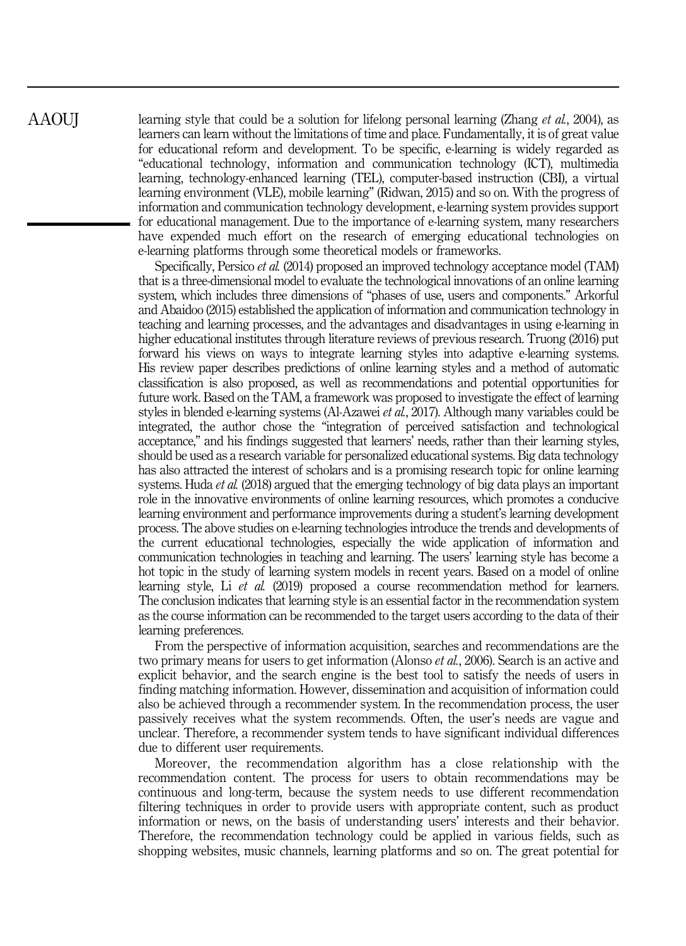learning style that could be a solution for lifelong personal learning (Zhang *et al.*, 2004), as learners can learn without the limitations of time and place. Fundamentally, it is of great value for educational reform and development. To be specific, e-learning is widely regarded as "educational technology, information and communication technology (ICT), multimedia learning, technology-enhanced learning (TEL), computer-based instruction (CBI), a virtual learning environment (VLE), mobile learning" (Ridwan, 2015) and so on. With the progress of information and communication technology development, e-learning system provides support for educational management. Due to the importance of e-learning system, many researchers have expended much effort on the research of emerging educational technologies on e-learning platforms through some theoretical models or frameworks.

Specifically, Persico et al. (2014) proposed an improved technology acceptance model (TAM) that is a three-dimensional model to evaluate the technological innovations of an online learning system, which includes three dimensions of "phases of use, users and components." Arkorful and Abaidoo (2015) established the application of information and communication technology in teaching and learning processes, and the advantages and disadvantages in using e-learning in higher educational institutes through literature reviews of previous research. Truong (2016) put forward his views on ways to integrate learning styles into adaptive e-learning systems. His review paper describes predictions of online learning styles and a method of automatic classification is also proposed, as well as recommendations and potential opportunities for future work. Based on the TAM, a framework was proposed to investigate the effect of learning styles in blended e-learning systems (Al-Azawei et al., 2017). Although many variables could be integrated, the author chose the "integration of perceived satisfaction and technological acceptance," and his findings suggested that learners' needs, rather than their learning styles, should be used as a research variable for personalized educational systems. Big data technology has also attracted the interest of scholars and is a promising research topic for online learning systems. Huda *et al.* (2018) argued that the emerging technology of big data plays an important role in the innovative environments of online learning resources, which promotes a conducive learning environment and performance improvements during a student's learning development process. The above studies on e-learning technologies introduce the trends and developments of the current educational technologies, especially the wide application of information and communication technologies in teaching and learning. The users' learning style has become a hot topic in the study of learning system models in recent years. Based on a model of online learning style, Li et al. (2019) proposed a course recommendation method for learners. The conclusion indicates that learning style is an essential factor in the recommendation system as the course information can be recommended to the target users according to the data of their learning preferences.

From the perspective of information acquisition, searches and recommendations are the two primary means for users to get information (Alonso *et al.*, 2006). Search is an active and explicit behavior, and the search engine is the best tool to satisfy the needs of users in finding matching information. However, dissemination and acquisition of information could also be achieved through a recommender system. In the recommendation process, the user passively receives what the system recommends. Often, the user's needs are vague and unclear. Therefore, a recommender system tends to have significant individual differences due to different user requirements.

Moreover, the recommendation algorithm has a close relationship with the recommendation content. The process for users to obtain recommendations may be continuous and long-term, because the system needs to use different recommendation filtering techniques in order to provide users with appropriate content, such as product information or news, on the basis of understanding users' interests and their behavior. Therefore, the recommendation technology could be applied in various fields, such as shopping websites, music channels, learning platforms and so on. The great potential for

## AAOUJ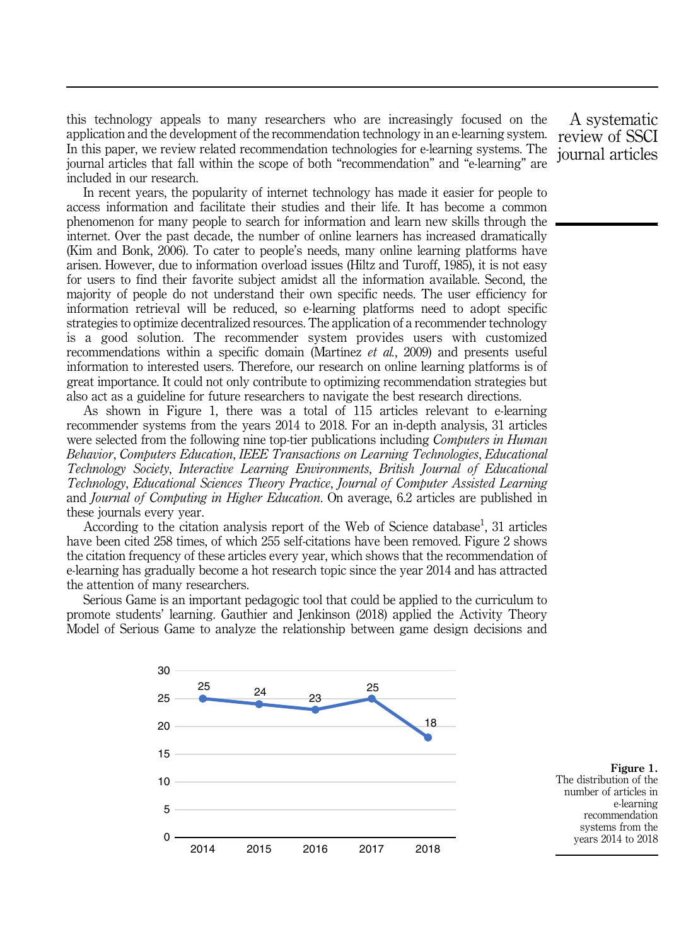this technology appeals to many researchers who are increasingly focused on the application and the development of the recommendation technology in an e-learning system. In this paper, we review related recommendation technologies for e-learning systems. The journal articles that fall within the scope of both "recommendation" and "e-learning" are included in our research.

In recent years, the popularity of internet technology has made it easier for people to access information and facilitate their studies and their life. It has become a common phenomenon for many people to search for information and learn new skills through the internet. Over the past decade, the number of online learners has increased dramatically (Kim and Bonk, 2006). To cater to people's needs, many online learning platforms have arisen. However, due to information overload issues (Hiltz and Turoff, 1985), it is not easy for users to find their favorite subject amidst all the information available. Second, the majority of people do not understand their own specific needs. The user efficiency for information retrieval will be reduced, so e-learning platforms need to adopt specific strategies to optimize decentralized resources. The application of a recommender technology is a good solution. The recommender system provides users with customized recommendations within a specific domain (Martínez et al., 2009) and presents useful information to interested users. Therefore, our research on online learning platforms is of great importance. It could not only contribute to optimizing recommendation strategies but also act as a guideline for future researchers to navigate the best research directions.

As shown in Figure 1, there was a total of 115 articles relevant to e-learning recommender systems from the years 2014 to 2018. For an in-depth analysis, 31 articles were selected from the following nine top-tier publications including *Computers in Human* Behavior, Computers Education, IEEE Transactions on Learning Technologies, Educational Technology Society, Interactive Learning Environments, British Journal of Educational Technology, Educational Sciences Theory Practice, Journal of Computer Assisted Learning and *Journal of Computing in Higher Education*. On average, 6.2 articles are published in these journals every year.

According to the citation analysis report of the Web of Science database<sup>1</sup>, 31 articles have been cited 258 times, of which 255 self-citations have been removed. Figure 2 shows the citation frequency of these articles every year, which shows that the recommendation of e-learning has gradually become a hot research topic since the year 2014 and has attracted the attention of many researchers.

Serious Game is an important pedagogic tool that could be applied to the curriculum to promote students' learning. Gauthier and Jenkinson (2018) applied the Activity Theory Model of Serious Game to analyze the relationship between game design decisions and



The distribution of the number of articles in e-learning recommendation systems from the years 2014 to 2018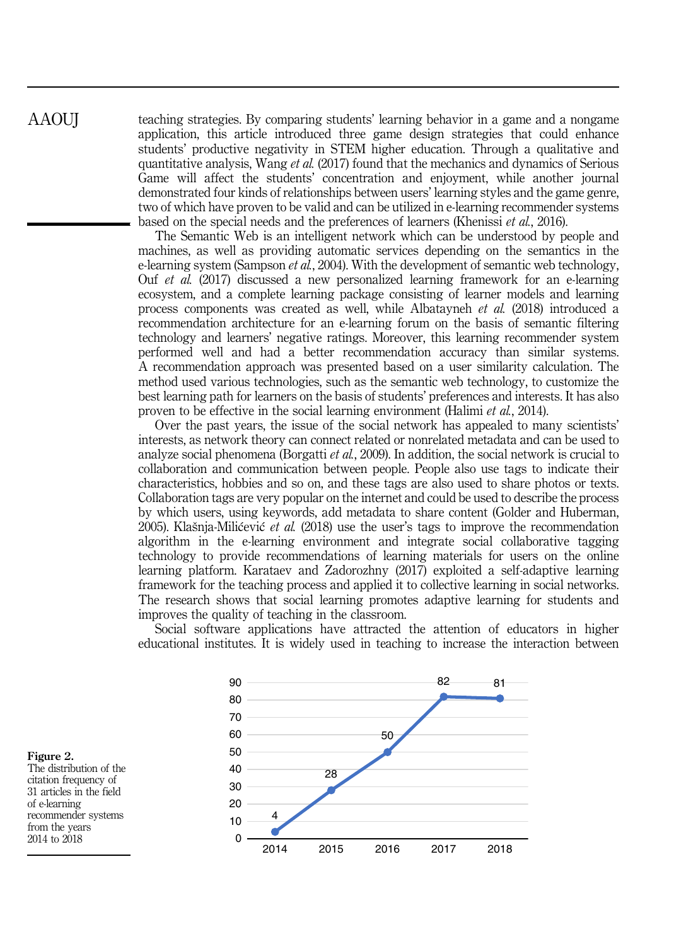teaching strategies. By comparing students' learning behavior in a game and a nongame application, this article introduced three game design strategies that could enhance students' productive negativity in STEM higher education. Through a qualitative and quantitative analysis, Wang *et al.* (2017) found that the mechanics and dynamics of Serious Game will affect the students' concentration and enjoyment, while another journal demonstrated four kinds of relationships between users' learning styles and the game genre, two of which have proven to be valid and can be utilized in e-learning recommender systems based on the special needs and the preferences of learners (Khenissi *et al.*, 2016).

The Semantic Web is an intelligent network which can be understood by people and machines, as well as providing automatic services depending on the semantics in the e-learning system (Sampson et al., 2004). With the development of semantic web technology, Ouf et al. (2017) discussed a new personalized learning framework for an e-learning ecosystem, and a complete learning package consisting of learner models and learning process components was created as well, while Albatayneh et al. (2018) introduced a recommendation architecture for an e-learning forum on the basis of semantic filtering technology and learners' negative ratings. Moreover, this learning recommender system performed well and had a better recommendation accuracy than similar systems. A recommendation approach was presented based on a user similarity calculation. The method used various technologies, such as the semantic web technology, to customize the best learning path for learners on the basis of students' preferences and interests. It has also proven to be effective in the social learning environment (Halimi et al., 2014).

Over the past years, the issue of the social network has appealed to many scientists' interests, as network theory can connect related or nonrelated metadata and can be used to analyze social phenomena (Borgatti *et al.*, 2009). In addition, the social network is crucial to collaboration and communication between people. People also use tags to indicate their characteristics, hobbies and so on, and these tags are also used to share photos or texts. Collaboration tags are very popular on the internet and could be used to describe the process by which users, using keywords, add metadata to share content (Golder and Huberman, 2005). Klašnja-Milićević *et al.* (2018) use the user's tags to improve the recommendation algorithm in the e-learning environment and integrate social collaborative tagging technology to provide recommendations of learning materials for users on the online learning platform. Karataev and Zadorozhny (2017) exploited a self-adaptive learning framework for the teaching process and applied it to collective learning in social networks. The research shows that social learning promotes adaptive learning for students and improves the quality of teaching in the classroom.

Social software applications have attracted the attention of educators in higher educational institutes. It is widely used in teaching to increase the interaction between



Figure 2. The distribution of the citation frequency of 31 articles in the field of e-learning recommender systems from the years 2014 to 2018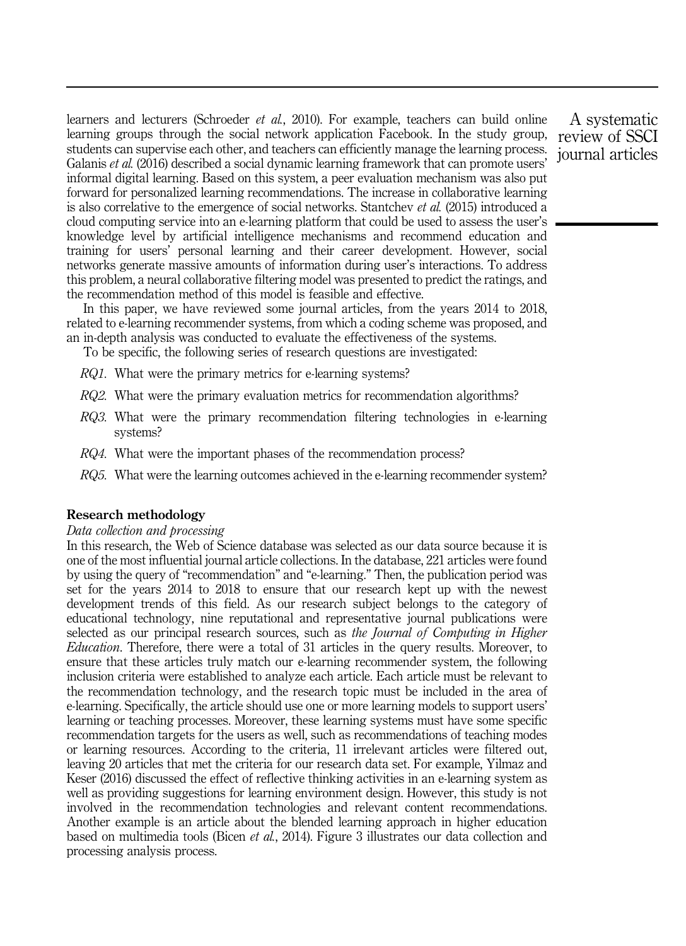learners and lecturers (Schroeder et al., 2010). For example, teachers can build online learning groups through the social network application Facebook. In the study group, students can supervise each other, and teachers can efficiently manage the learning process. Galanis *et al.* (2016) described a social dynamic learning framework that can promote users' informal digital learning. Based on this system, a peer evaluation mechanism was also put forward for personalized learning recommendations. The increase in collaborative learning is also correlative to the emergence of social networks. Stantchev *et al.* (2015) introduced a cloud computing service into an e-learning platform that could be used to assess the user's knowledge level by artificial intelligence mechanisms and recommend education and training for users' personal learning and their career development. However, social networks generate massive amounts of information during user's interactions. To address this problem, a neural collaborative filtering model was presented to predict the ratings, and the recommendation method of this model is feasible and effective.

In this paper, we have reviewed some journal articles, from the years 2014 to 2018, related to e-learning recommender systems, from which a coding scheme was proposed, and an in-depth analysis was conducted to evaluate the effectiveness of the systems.

To be specific, the following series of research questions are investigated:

- RQ1. What were the primary metrics for e-learning systems?
- RQ2. What were the primary evaluation metrics for recommendation algorithms?
- RQ3. What were the primary recommendation filtering technologies in e-learning systems?
- RQ4. What were the important phases of the recommendation process?
- RQ5. What were the learning outcomes achieved in the e-learning recommender system?

#### Research methodology

#### Data collection and processing

In this research, the Web of Science database was selected as our data source because it is one of the most influential journal article collections. In the database, 221 articles were found by using the query of "recommendation" and "e-learning." Then, the publication period was set for the years 2014 to 2018 to ensure that our research kept up with the newest development trends of this field. As our research subject belongs to the category of educational technology, nine reputational and representative journal publications were selected as our principal research sources, such as the *Journal of Computing in Higher* Education. Therefore, there were a total of 31 articles in the query results. Moreover, to ensure that these articles truly match our e-learning recommender system, the following inclusion criteria were established to analyze each article. Each article must be relevant to the recommendation technology, and the research topic must be included in the area of e-learning. Specifically, the article should use one or more learning models to support users' learning or teaching processes. Moreover, these learning systems must have some specific recommendation targets for the users as well, such as recommendations of teaching modes or learning resources. According to the criteria, 11 irrelevant articles were filtered out, leaving 20 articles that met the criteria for our research data set. For example, Yilmaz and Keser (2016) discussed the effect of reflective thinking activities in an e-learning system as well as providing suggestions for learning environment design. However, this study is not involved in the recommendation technologies and relevant content recommendations. Another example is an article about the blended learning approach in higher education based on multimedia tools (Bicen *et al.*, 2014). Figure 3 illustrates our data collection and processing analysis process.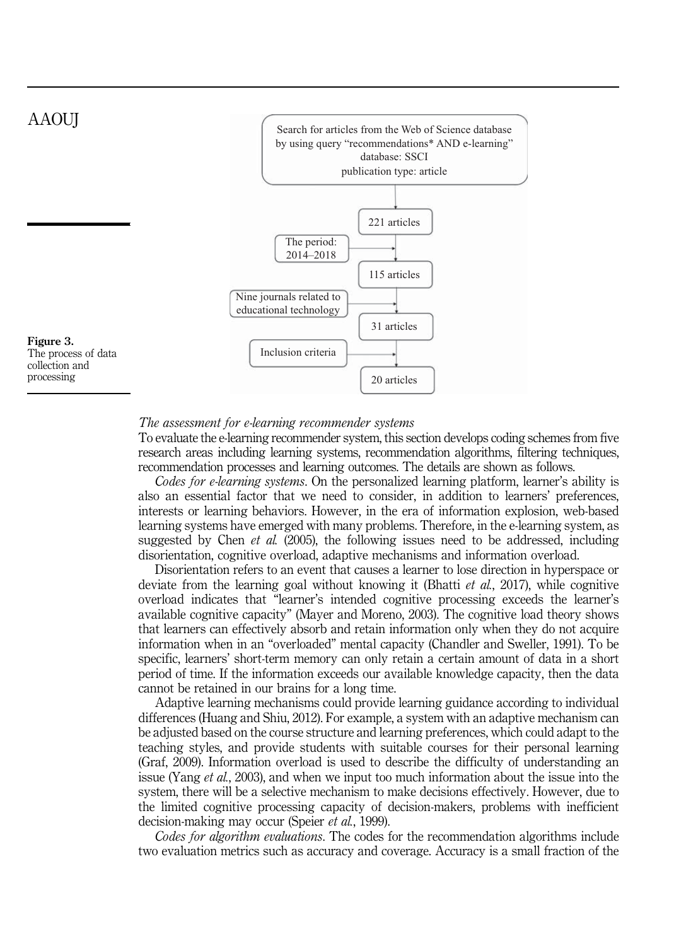

#### The assessment for e-learning recommender systems

To evaluate the e-learning recommender system, this section develops coding schemes from five research areas including learning systems, recommendation algorithms, filtering techniques, recommendation processes and learning outcomes. The details are shown as follows.

Codes for e-learning systems. On the personalized learning platform, learner's ability is also an essential factor that we need to consider, in addition to learners' preferences, interests or learning behaviors. However, in the era of information explosion, web-based learning systems have emerged with many problems. Therefore, in the e-learning system, as suggested by Chen *et al.* (2005), the following issues need to be addressed, including disorientation, cognitive overload, adaptive mechanisms and information overload.

Disorientation refers to an event that causes a learner to lose direction in hyperspace or deviate from the learning goal without knowing it (Bhatti *et al.*, 2017), while cognitive overload indicates that "learner's intended cognitive processing exceeds the learner's available cognitive capacity" (Mayer and Moreno, 2003). The cognitive load theory shows that learners can effectively absorb and retain information only when they do not acquire information when in an "overloaded" mental capacity (Chandler and Sweller, 1991). To be specific, learners' short-term memory can only retain a certain amount of data in a short period of time. If the information exceeds our available knowledge capacity, then the data cannot be retained in our brains for a long time.

Adaptive learning mechanisms could provide learning guidance according to individual differences (Huang and Shiu, 2012). For example, a system with an adaptive mechanism can be adjusted based on the course structure and learning preferences, which could adapt to the teaching styles, and provide students with suitable courses for their personal learning (Graf, 2009). Information overload is used to describe the difficulty of understanding an issue (Yang et al., 2003), and when we input too much information about the issue into the system, there will be a selective mechanism to make decisions effectively. However, due to the limited cognitive processing capacity of decision-makers, problems with inefficient decision-making may occur (Speier et al., 1999).

Codes for algorithm evaluations. The codes for the recommendation algorithms include two evaluation metrics such as accuracy and coverage. Accuracy is a small fraction of the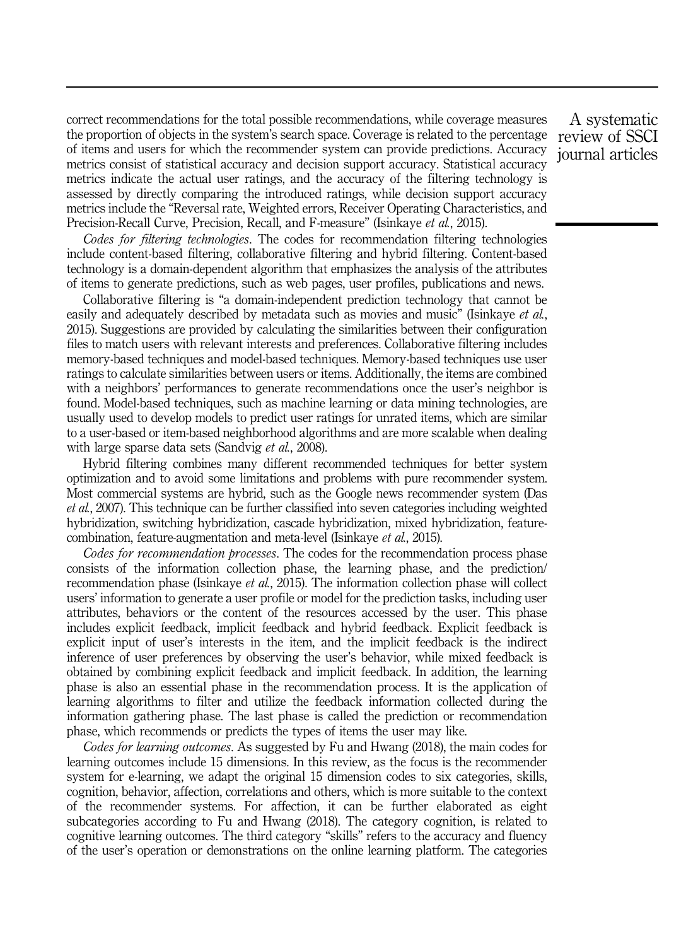correct recommendations for the total possible recommendations, while coverage measures the proportion of objects in the system's search space. Coverage is related to the percentage of items and users for which the recommender system can provide predictions. Accuracy metrics consist of statistical accuracy and decision support accuracy. Statistical accuracy metrics indicate the actual user ratings, and the accuracy of the filtering technology is assessed by directly comparing the introduced ratings, while decision support accuracy metrics include the "Reversal rate, Weighted errors, Receiver Operating Characteristics, and Precision-Recall Curve, Precision, Recall, and F-measure" (Isinkaye *et al.*, 2015).

Codes for filtering technologies. The codes for recommendation filtering technologies include content-based filtering, collaborative filtering and hybrid filtering. Content-based technology is a domain-dependent algorithm that emphasizes the analysis of the attributes of items to generate predictions, such as web pages, user profiles, publications and news.

Collaborative filtering is "a domain-independent prediction technology that cannot be easily and adequately described by metadata such as movies and music" (Isinkaye et al., 2015). Suggestions are provided by calculating the similarities between their configuration files to match users with relevant interests and preferences. Collaborative filtering includes memory-based techniques and model-based techniques. Memory-based techniques use user ratings to calculate similarities between users or items. Additionally, the items are combined with a neighbors' performances to generate recommendations once the user's neighbor is found. Model-based techniques, such as machine learning or data mining technologies, are usually used to develop models to predict user ratings for unrated items, which are similar to a user-based or item-based neighborhood algorithms and are more scalable when dealing with large sparse data sets (Sandvig *et al.*, 2008).

Hybrid filtering combines many different recommended techniques for better system optimization and to avoid some limitations and problems with pure recommender system. Most commercial systems are hybrid, such as the Google news recommender system (Das et al., 2007). This technique can be further classified into seven categories including weighted hybridization, switching hybridization, cascade hybridization, mixed hybridization, featurecombination, feature-augmentation and meta-level (Isinkaye et al., 2015).

Codes for recommendation processes. The codes for the recommendation process phase consists of the information collection phase, the learning phase, and the prediction/ recommendation phase (Isinkaye *et al.*, 2015). The information collection phase will collect users' information to generate a user profile or model for the prediction tasks, including user attributes, behaviors or the content of the resources accessed by the user. This phase includes explicit feedback, implicit feedback and hybrid feedback. Explicit feedback is explicit input of user's interests in the item, and the implicit feedback is the indirect inference of user preferences by observing the user's behavior, while mixed feedback is obtained by combining explicit feedback and implicit feedback. In addition, the learning phase is also an essential phase in the recommendation process. It is the application of learning algorithms to filter and utilize the feedback information collected during the information gathering phase. The last phase is called the prediction or recommendation phase, which recommends or predicts the types of items the user may like.

Codes for learning outcomes. As suggested by Fu and Hwang (2018), the main codes for learning outcomes include 15 dimensions. In this review, as the focus is the recommender system for e-learning, we adapt the original 15 dimension codes to six categories, skills, cognition, behavior, affection, correlations and others, which is more suitable to the context of the recommender systems. For affection, it can be further elaborated as eight subcategories according to Fu and Hwang (2018). The category cognition, is related to cognitive learning outcomes. The third category "skills" refers to the accuracy and fluency of the user's operation or demonstrations on the online learning platform. The categories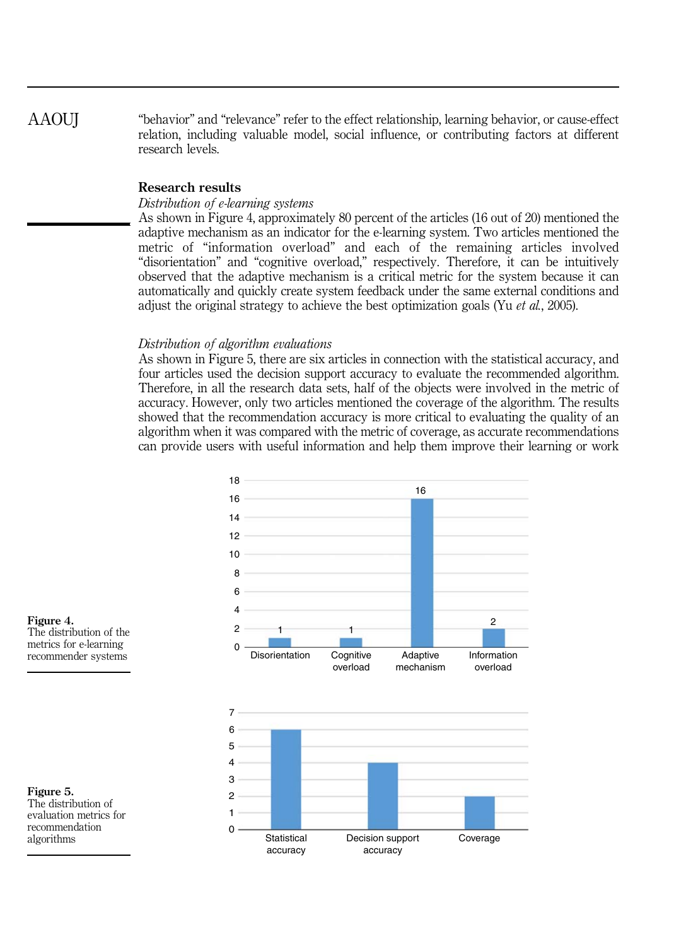# AAOUJ

"behavior" and "relevance" refer to the effect relationship, learning behavior, or cause-effect relation, including valuable model, social influence, or contributing factors at different research levels.

#### Research results

#### Distribution of e-learning systems

As shown in Figure 4, approximately 80 percent of the articles (16 out of 20) mentioned the adaptive mechanism as an indicator for the e-learning system. Two articles mentioned the metric of "information overload" and each of the remaining articles involved "disorientation" and "cognitive overload," respectively. Therefore, it can be intuitively observed that the adaptive mechanism is a critical metric for the system because it can automatically and quickly create system feedback under the same external conditions and adjust the original strategy to achieve the best optimization goals (Yu et al., 2005).

#### Distribution of algorithm evaluations

As shown in Figure 5, there are six articles in connection with the statistical accuracy, and four articles used the decision support accuracy to evaluate the recommended algorithm. Therefore, in all the research data sets, half of the objects were involved in the metric of accuracy. However, only two articles mentioned the coverage of the algorithm. The results showed that the recommendation accuracy is more critical to evaluating the quality of an algorithm when it was compared with the metric of coverage, as accurate recommendations can provide users with useful information and help them improve their learning or work



The distribution of the metrics for e-learning recommender systems

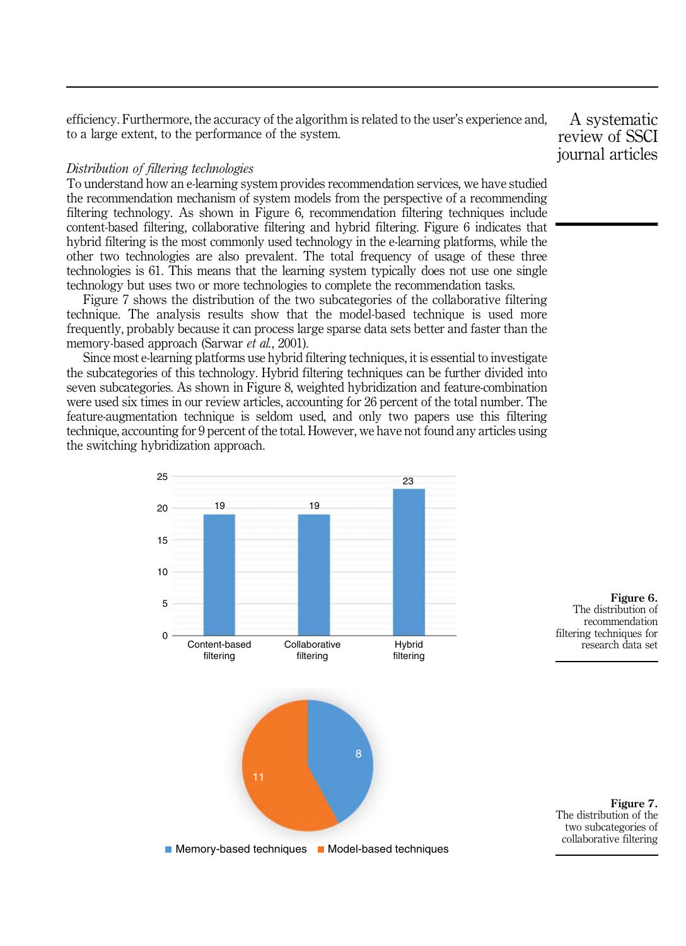efficiency. Furthermore, the accuracy of the algorithm is related to the user's experience and, to a large extent, to the performance of the system.

#### Distribution of filtering technologies

To understand how an e-learning system provides recommendation services, we have studied the recommendation mechanism of system models from the perspective of a recommending filtering technology. As shown in Figure 6, recommendation filtering techniques include content-based filtering, collaborative filtering and hybrid filtering. Figure 6 indicates that hybrid filtering is the most commonly used technology in the e-learning platforms, while the other two technologies are also prevalent. The total frequency of usage of these three technologies is 61. This means that the learning system typically does not use one single technology but uses two or more technologies to complete the recommendation tasks.

Figure 7 shows the distribution of the two subcategories of the collaborative filtering technique. The analysis results show that the model-based technique is used more frequently, probably because it can process large sparse data sets better and faster than the memory-based approach (Sarwar et al., 2001).

Since most e-learning platforms use hybrid filtering techniques, it is essential to investigate the subcategories of this technology. Hybrid filtering techniques can be further divided into seven subcategories. As shown in Figure 8, weighted hybridization and feature-combination were used six times in our review articles, accounting for 26 percent of the total number. The feature-augmentation technique is seldom used, and only two papers use this filtering technique, accounting for 9 percent of the total. However, we have not found any articles using the switching hybridization approach.



A systematic review of SSCI journal articles

The distribution of recommendation filtering techniques for research data set

The distribution of the two subcategories of collaborative filtering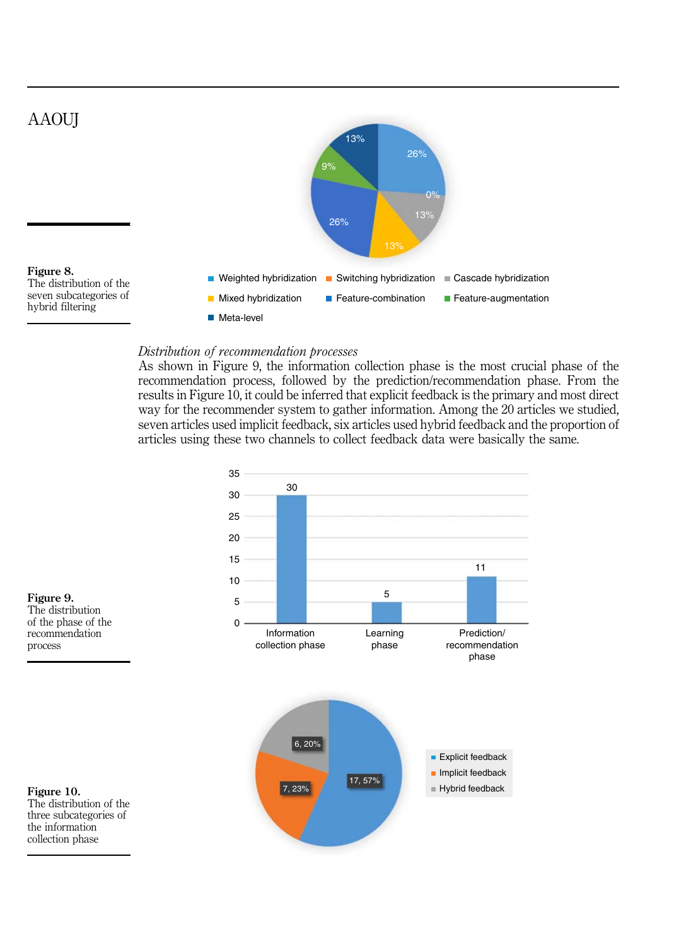

#### Distribution of recommendation processes

As shown in Figure 9, the information collection phase is the most crucial phase of the recommendation process, followed by the prediction/recommendation phase. From the results in Figure 10, it could be inferred that explicit feedback is the primary and most direct way for the recommender system to gather information. Among the 20 articles we studied, seven articles used implicit feedback, six articles used hybrid feedback and the proportion of articles using these two channels to collect feedback data were basically the same.



Figure 9. The distribution of the phase of the recommendation process

The distribution of the three subcategories of the information collection phase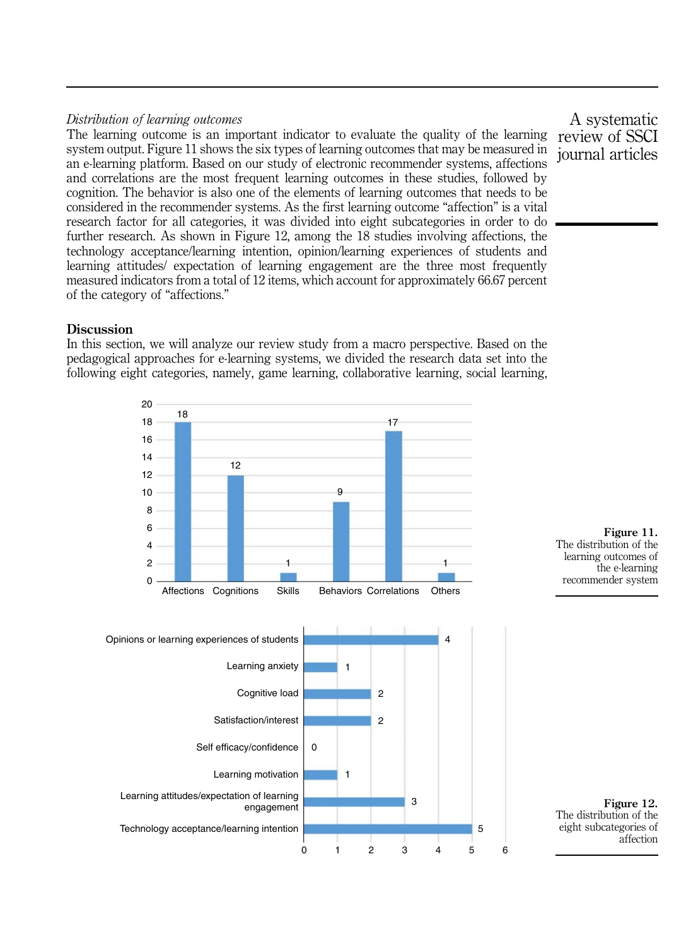#### Distribution of learning outcomes

The learning outcome is an important indicator to evaluate the quality of the learning system output. Figure 11 shows the six types of learning outcomes that may be measured in an e-learning platform. Based on our study of electronic recommender systems, affections and correlations are the most frequent learning outcomes in these studies, followed by cognition. The behavior is also one of the elements of learning outcomes that needs to be considered in the recommender systems. As the first learning outcome "affection" is a vital research factor for all categories, it was divided into eight subcategories in order to do further research. As shown in Figure 12, among the 18 studies involving affections, the technology acceptance/learning intention, opinion/learning experiences of students and learning attitudes/ expectation of learning engagement are the three most frequently measured indicators from a total of 12 items, which account for approximately 66.67 percent of the category of "affections."

#### **Discussion**

20 18

18

In this section, we will analyze our review study from a macro perspective. Based on the pedagogical approaches for e-learning systems, we divided the research data set into the following eight categories, namely, game learning, collaborative learning, social learning,

17



A systematic review of SSCI journal articles



The distribution of the eight subcategories of affection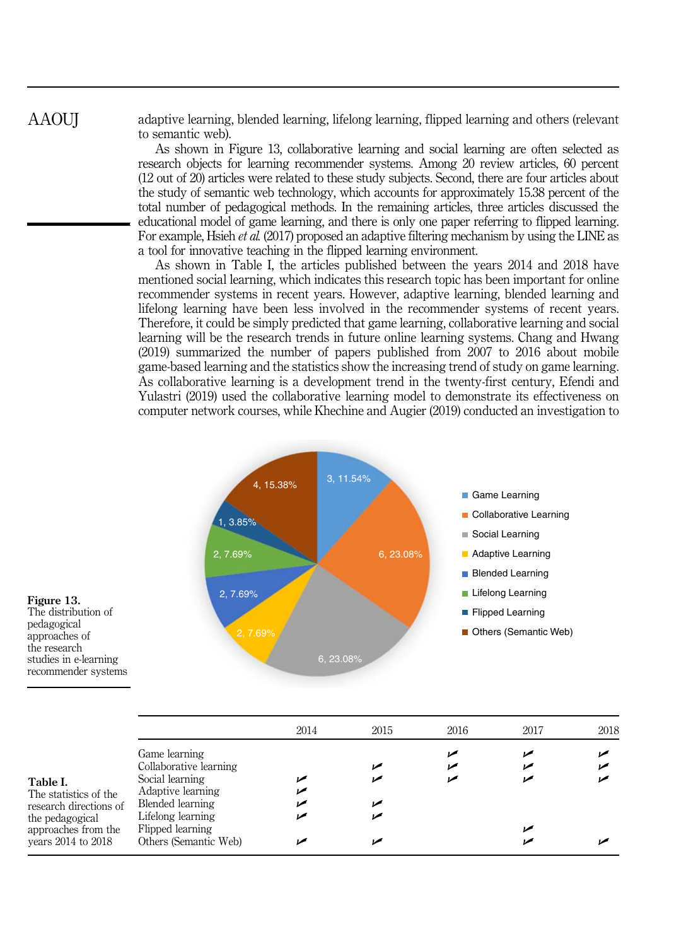adaptive learning, blended learning, lifelong learning, flipped learning and others (relevant to semantic web).

As shown in Figure 13, collaborative learning and social learning are often selected as research objects for learning recommender systems. Among 20 review articles, 60 percent (12 out of 20) articles were related to these study subjects. Second, there are four articles about the study of semantic web technology, which accounts for approximately 15.38 percent of the total number of pedagogical methods. In the remaining articles, three articles discussed the educational model of game learning, and there is only one paper referring to flipped learning. For example, Hsieh *et al.* (2017) proposed an adaptive filtering mechanism by using the LINE as a tool for innovative teaching in the flipped learning environment.

As shown in Table I, the articles published between the years 2014 and 2018 have mentioned social learning, which indicates this research topic has been important for online recommender systems in recent years. However, adaptive learning, blended learning and lifelong learning have been less involved in the recommender systems of recent years. Therefore, it could be simply predicted that game learning, collaborative learning and social learning will be the research trends in future online learning systems. Chang and Hwang (2019) summarized the number of papers published from 2007 to 2016 about mobile game-based learning and the statistics show the increasing trend of study on game learning. As collaborative learning is a development trend in the twenty-first century, Efendi and Yulastri (2019) used the collaborative learning model to demonstrate its effectiveness on computer network courses, while Khechine and Augier (2019) conducted an investigation to



Figure 13. The distribution of pedagogical approaches of the research studies in e-learning recommender systems

|                                                                                |                        | 2014 | 2015 | 2016 | 2017 | 2018 |
|--------------------------------------------------------------------------------|------------------------|------|------|------|------|------|
|                                                                                | Game learning          |      |      |      |      |      |
|                                                                                | Collaborative learning |      |      |      |      |      |
| Table I.<br>The statistics of the<br>research directions of<br>the pedagogical | Social learning        |      |      |      |      |      |
|                                                                                | Adaptive learning      |      |      |      |      |      |
|                                                                                | Blended learning       |      |      |      |      |      |
|                                                                                | Lifelong learning      |      |      |      |      |      |
| approaches from the                                                            | Flipped learning       |      |      |      |      |      |
| vears 2014 to 2018                                                             | Others (Semantic Web)  |      |      |      |      |      |

### AAOUJ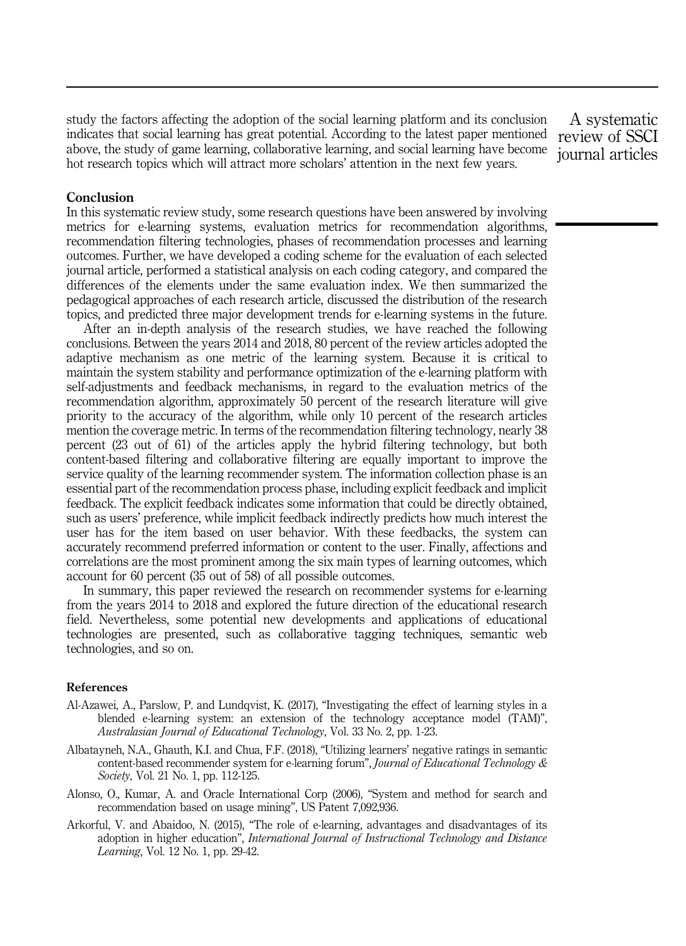study the factors affecting the adoption of the social learning platform and its conclusion indicates that social learning has great potential. According to the latest paper mentioned above, the study of game learning, collaborative learning, and social learning have become hot research topics which will attract more scholars' attention in the next few years.

A systematic review of SSCI journal articles

#### Conclusion

In this systematic review study, some research questions have been answered by involving metrics for e-learning systems, evaluation metrics for recommendation algorithms, recommendation filtering technologies, phases of recommendation processes and learning outcomes. Further, we have developed a coding scheme for the evaluation of each selected journal article, performed a statistical analysis on each coding category, and compared the differences of the elements under the same evaluation index. We then summarized the pedagogical approaches of each research article, discussed the distribution of the research topics, and predicted three major development trends for e-learning systems in the future.

After an in-depth analysis of the research studies, we have reached the following conclusions. Between the years 2014 and 2018, 80 percent of the review articles adopted the adaptive mechanism as one metric of the learning system. Because it is critical to maintain the system stability and performance optimization of the e-learning platform with self-adjustments and feedback mechanisms, in regard to the evaluation metrics of the recommendation algorithm, approximately 50 percent of the research literature will give priority to the accuracy of the algorithm, while only 10 percent of the research articles mention the coverage metric. In terms of the recommendation filtering technology, nearly 38 percent (23 out of 61) of the articles apply the hybrid filtering technology, but both content-based filtering and collaborative filtering are equally important to improve the service quality of the learning recommender system. The information collection phase is an essential part of the recommendation process phase, including explicit feedback and implicit feedback. The explicit feedback indicates some information that could be directly obtained, such as users' preference, while implicit feedback indirectly predicts how much interest the user has for the item based on user behavior. With these feedbacks, the system can accurately recommend preferred information or content to the user. Finally, affections and correlations are the most prominent among the six main types of learning outcomes, which account for 60 percent (35 out of 58) of all possible outcomes.

In summary, this paper reviewed the research on recommender systems for e-learning from the years 2014 to 2018 and explored the future direction of the educational research field. Nevertheless, some potential new developments and applications of educational technologies are presented, such as collaborative tagging techniques, semantic web technologies, and so on.

#### References

- Al-Azawei, A., Parslow, P. and Lundqvist, K. (2017), "Investigating the effect of learning styles in a blended e-learning system: an extension of the technology acceptance model (TAM)", Australasian Journal of Educational Technology, Vol. 33 No. 2, pp. 1-23.
- Albatayneh, N.A., Ghauth, K.I. and Chua, F.F. (2018), "Utilizing learners' negative ratings in semantic content-based recommender system for e-learning forum", *Journal of Educational Technology*  $\&$ Society, Vol. 21 No. 1, pp. 112-125.
- Alonso, O., Kumar, A. and Oracle International Corp (2006), "System and method for search and recommendation based on usage mining", US Patent 7,092,936.
- Arkorful, V. and Abaidoo, N. (2015), "The role of e-learning, advantages and disadvantages of its adoption in higher education", International Journal of Instructional Technology and Distance Learning, Vol. 12 No. 1, pp. 29-42.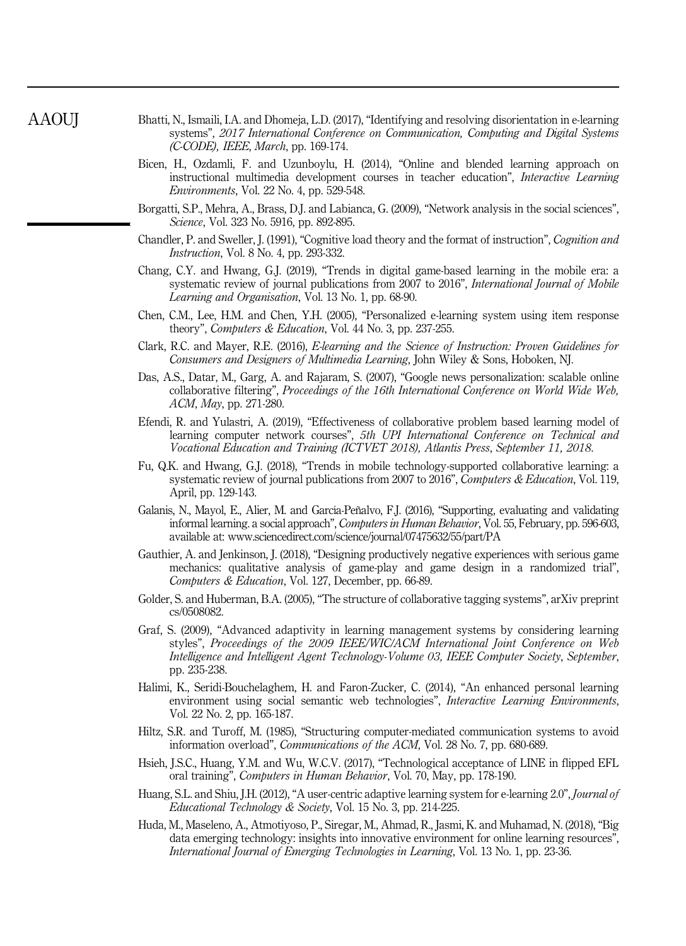- Bhatti, N., Ismaili, I.A. and Dhomeja, L.D. (2017), "Identifying and resolving disorientation in e-learning systems", 2017 International Conference on Communication, Computing and Digital Systems (C-CODE), IEEE, March, pp. 169-174.
	- Bicen, H., Ozdamli, F. and Uzunboylu, H. (2014), "Online and blended learning approach on instructional multimedia development courses in teacher education", Interactive Learning Environments, Vol. 22 No. 4, pp. 529-548.
	- Borgatti, S.P., Mehra, A., Brass, D.J. and Labianca, G. (2009), "Network analysis in the social sciences", Science, Vol. 323 No. 5916, pp. 892-895.
	- Chandler, P. and Sweller, J. (1991), "Cognitive load theory and the format of instruction", Cognition and Instruction, Vol. 8 No. 4, pp. 293-332.
	- Chang, C.Y. and Hwang, G.J. (2019), "Trends in digital game-based learning in the mobile era: a systematic review of journal publications from 2007 to 2016", International Journal of Mobile Learning and Organisation, Vol. 13 No. 1, pp. 68-90.
	- Chen, C.M., Lee, H.M. and Chen, Y.H. (2005), "Personalized e-learning system using item response theory", Computers & Education, Vol. 44 No. 3, pp. 237-255.
	- Clark, R.C. and Mayer, R.E. (2016), E-learning and the Science of Instruction: Proven Guidelines for Consumers and Designers of Multimedia Learning, John Wiley & Sons, Hoboken, NJ.
	- Das, A.S., Datar, M., Garg, A. and Rajaram, S. (2007), "Google news personalization: scalable online collaborative filtering", Proceedings of the 16th International Conference on World Wide Web, ACM, May, pp. 271-280.
	- Efendi, R. and Yulastri, A. (2019), "Effectiveness of collaborative problem based learning model of learning computer network courses", 5th UPI International Conference on Technical and Vocational Education and Training (ICTVET 2018), Atlantis Press, September 11, 2018.
	- Fu, Q.K. and Hwang, G.J. (2018), "Trends in mobile technology-supported collaborative learning: a systematic review of journal publications from 2007 to 2016", Computers & Education, Vol. 119, April, pp. 129-143.
	- Galanis, N., Mayol, E., Alier, M. and García-Peñalvo, F.J. (2016), "Supporting, evaluating and validating informal learning. a social approach", Computers in Human Behavior, Vol. 55, February, pp. 596-603, available at:<www.sciencedirect.com/science/journal/07475632/55/part/PA>
	- Gauthier, A. and Jenkinson, J. (2018), "Designing productively negative experiences with serious game mechanics: qualitative analysis of game-play and game design in a randomized trial", Computers & Education, Vol. 127, December, pp. 66-89.
	- Golder, S. and Huberman, B.A. (2005), "The structure of collaborative tagging systems", arXiv preprint cs/0508082.
	- Graf, S. (2009), "Advanced adaptivity in learning management systems by considering learning styles", Proceedings of the 2009 IEEE/WIC/ACM International Joint Conference on Web Intelligence and Intelligent Agent Technology-Volume 03, IEEE Computer Society, September, pp. 235-238.
	- Halimi, K., Seridi-Bouchelaghem, H. and Faron-Zucker, C. (2014), "An enhanced personal learning environment using social semantic web technologies", *Interactive Learning Environments*, Vol. 22 No. 2, pp. 165-187.
	- Hiltz, S.R. and Turoff, M. (1985), "Structuring computer-mediated communication systems to avoid information overload", Communications of the ACM, Vol. 28 No. 7, pp. 680-689.
	- Hsieh, J.S.C., Huang, Y.M. and Wu, W.C.V. (2017), "Technological acceptance of LINE in flipped EFL oral training", Computers in Human Behavior, Vol. 70, May, pp. 178-190.
	- Huang, S.L. and Shiu, J.H. (2012), "A user-centric adaptive learning system for e-learning 2.0", Journal of Educational Technology & Society, Vol. 15 No. 3, pp. 214-225.
	- Huda, M., Maseleno, A., Atmotiyoso, P., Siregar, M., Ahmad, R., Jasmi, K. and Muhamad, N. (2018), "Big data emerging technology: insights into innovative environment for online learning resources", International Journal of Emerging Technologies in Learning, Vol. 13 No. 1, pp. 23-36.

AAOUJ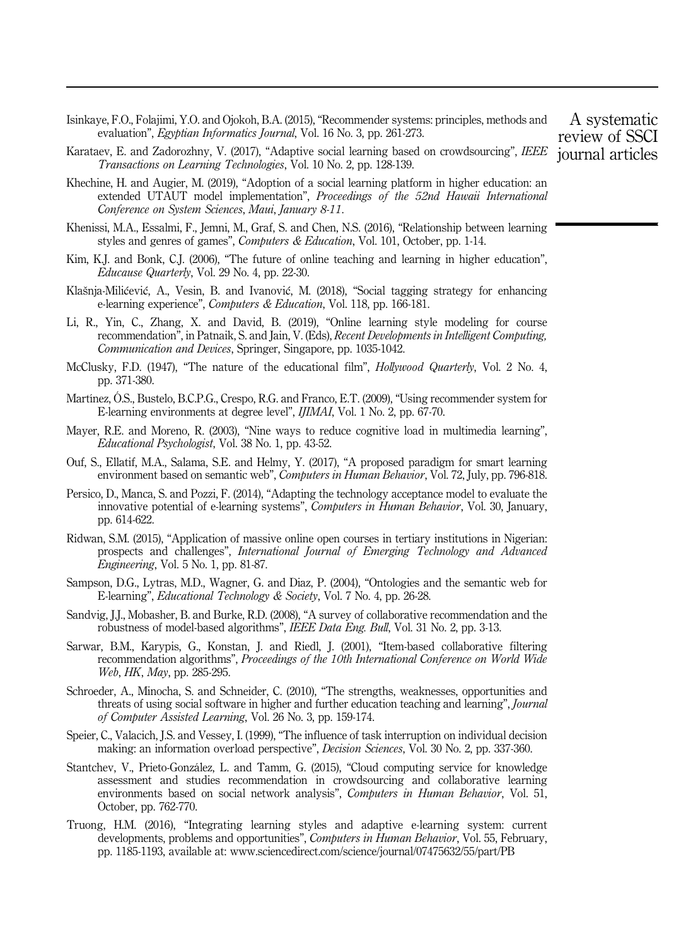- Isinkaye, F.O., Folajimi, Y.O. and Ojokoh, B.A. (2015), "Recommender systems: principles, methods and evaluation", Egyptian Informatics Journal, Vol. 16 No. 3, pp. 261-273.
- Karataev, E. and Zadorozhny, V. (2017), "Adaptive social learning based on crowdsourcing", IEEE Transactions on Learning Technologies, Vol. 10 No. 2, pp. 128-139.
- Khechine, H. and Augier, M. (2019), "Adoption of a social learning platform in higher education: an extended UTAUT model implementation", Proceedings of the 52nd Hawaii International Conference on System Sciences, Maui, January 8-11.
- Khenissi, M.A., Essalmi, F., Jemni, M., Graf, S. and Chen, N.S. (2016), "Relationship between learning styles and genres of games", Computers & Education, Vol. 101, October, pp. 1-14.
- Kim, K.J. and Bonk, C.J. (2006), "The future of online teaching and learning in higher education", Educause Quarterly, Vol. 29 No. 4, pp. 22-30.
- Klašnja-Milićević, A., Vesin, B. and Ivanović, M. (2018), "Social tagging strategy for enhancing e-learning experience", Computers & Education, Vol. 118, pp. 166-181.
- Li, R., Yin, C., Zhang, X. and David, B. (2019), "Online learning style modeling for course recommendation", in Patnaik, S. and Jain, V. (Eds), Recent Developments in Intelligent Computing, Communication and Devices, Springer, Singapore, pp. 1035-1042.
- McClusky, F.D. (1947), "The nature of the educational film", *Hollywood Quarterly*, Vol. 2 No. 4, pp. 371-380.
- Martínez, Ó.S., Bustelo, B.C.P.G., Crespo, R.G. and Franco, E.T. (2009), "Using recommender system for E-learning environments at degree level", IJIMAI, Vol. 1 No. 2, pp. 67-70.
- Mayer, R.E. and Moreno, R. (2003), "Nine ways to reduce cognitive load in multimedia learning", Educational Psychologist, Vol. 38 No. 1, pp. 43-52.
- Ouf, S., Ellatif, M.A., Salama, S.E. and Helmy, Y. (2017), "A proposed paradigm for smart learning environment based on semantic web", Computers in Human Behavior, Vol. 72, July, pp. 796-818.
- Persico, D., Manca, S. and Pozzi, F. (2014), "Adapting the technology acceptance model to evaluate the innovative potential of e-learning systems", Computers in Human Behavior, Vol. 30, January, pp. 614-622.
- Ridwan, S.M. (2015), "Application of massive online open courses in tertiary institutions in Nigerian: prospects and challenges", International Journal of Emerging Technology and Advanced Engineering, Vol. 5 No. 1, pp. 81-87.
- Sampson, D.G., Lytras, M.D., Wagner, G. and Diaz, P. (2004), "Ontologies and the semantic web for E-learning", Educational Technology & Society, Vol. 7 No. 4, pp. 26-28.
- Sandvig, J.J., Mobasher, B. and Burke, R.D. (2008), "A survey of collaborative recommendation and the robustness of model-based algorithms", IEEE Data Eng. Bull, Vol. 31 No. 2, pp. 3-13.
- Sarwar, B.M., Karypis, G., Konstan, J. and Riedl, J. (2001), "Item-based collaborative filtering recommendation algorithms", Proceedings of the 10th International Conference on World Wide Web, HK, May, pp. 285-295.
- Schroeder, A., Minocha, S. and Schneider, C. (2010), "The strengths, weaknesses, opportunities and threats of using social software in higher and further education teaching and learning", *Journal* of Computer Assisted Learning, Vol. 26 No. 3, pp. 159-174.
- Speier, C., Valacich, J.S. and Vessey, I. (1999), "The influence of task interruption on individual decision making: an information overload perspective", *Decision Sciences*, Vol. 30 No. 2, pp. 337-360.
- Stantchev, V., Prieto-González, L. and Tamm, G. (2015), "Cloud computing service for knowledge assessment and studies recommendation in crowdsourcing and collaborative learning environments based on social network analysis", Computers in Human Behavior, Vol. 51, October, pp. 762-770.
- Truong, H.M. (2016), "Integrating learning styles and adaptive e-learning system: current developments, problems and opportunities", Computers in Human Behavior, Vol. 55, February, pp. 1185-1193, available at:<www.sciencedirect.com/science/journal/07475632/55/part/PB>